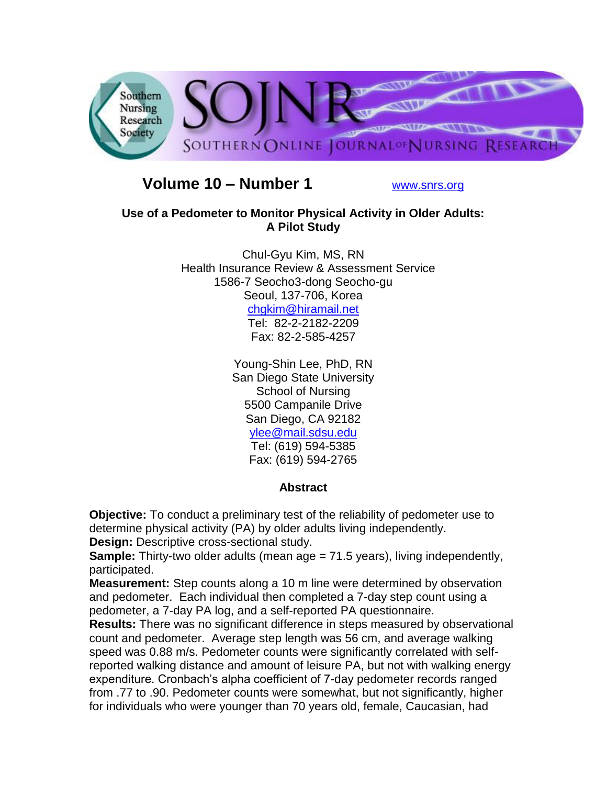

# **Volume 10 – Number 1** [www.snrs.org](http://www.snrs.org/)

## **Use of a Pedometer to Monitor Physical Activity in Older Adults: A Pilot Study**

Chul-Gyu Kim, MS, RN Health Insurance Review & Assessment Service 1586-7 Seocho3-dong Seocho-gu Seoul, 137-706, Korea [chgkim@hiramail.net](mailto:chgkim@hiramail.net) Tel: 82-2-2182-2209 Fax: 82-2-585-4257

> Young-Shin Lee, PhD, RN San Diego State University School of Nursing 5500 Campanile Drive San Diego, CA 92182 [ylee@mail.sdsu.edu](mailto:ylee@mail.sdsu.edu) Tel: (619) 594-5385 Fax: (619) 594-2765

# **Abstract**

**Objective:** To conduct a preliminary test of the reliability of pedometer use to determine physical activity (PA) by older adults living independently. **Design:** Descriptive cross-sectional study.

**Sample:** Thirty-two older adults (mean age = 71.5 years), living independently, participated.

**Measurement:** Step counts along a 10 m line were determined by observation and pedometer. Each individual then completed a 7-day step count using a pedometer, a 7-day PA log, and a self-reported PA questionnaire.

**Results:** There was no significant difference in steps measured by observational count and pedometer. Average step length was 56 cm, and average walking speed was 0.88 m/s. Pedometer counts were significantly correlated with selfreported walking distance and amount of leisure PA, but not with walking energy expenditure. Cronbach's alpha coefficient of 7-day pedometer records ranged from .77 to .90. Pedometer counts were somewhat, but not significantly, higher for individuals who were younger than 70 years old, female, Caucasian, had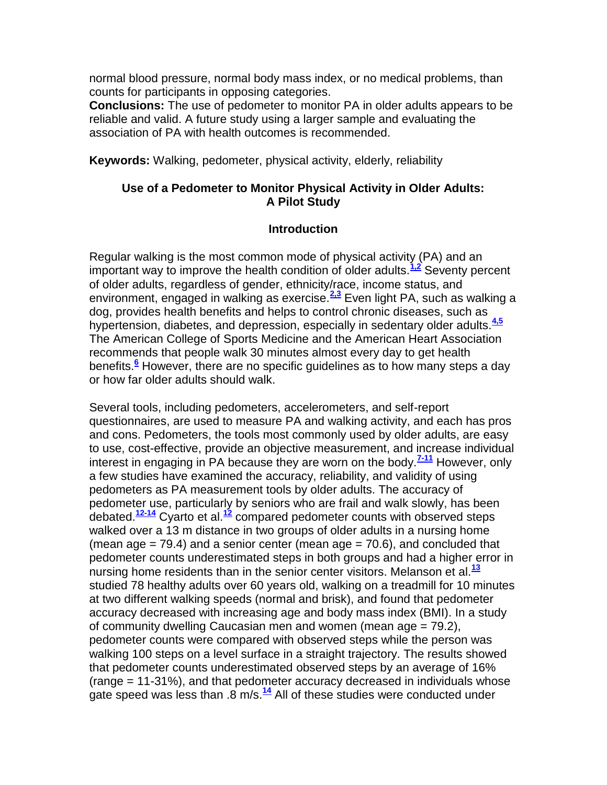normal blood pressure, normal body mass index, or no medical problems, than counts for participants in opposing categories.

**Conclusions:** The use of pedometer to monitor PA in older adults appears to be reliable and valid. A future study using a larger sample and evaluating the association of PA with health outcomes is recommended.

**Keywords:** Walking, pedometer, physical activity, elderly, reliability

## **Use of a Pedometer to Monitor Physical Activity in Older Adults: A Pilot Study**

#### **Introduction**

Regular walking is the most common mode of physical activity (PA) and an important way to improve the health condition of older adults.**[1,2](http://snrs.org/publications/SOJNR_articles2/n)** Seventy percent of older adults, regardless of gender, ethnicity/race, income status, and environment, engaged in walking as exercise.**[2,3](http://snrs.org/publications/SOJNR_articles2/n)** Even light PA, such as walking a dog, provides health benefits and helps to control chronic diseases, such as hypertension, diabetes, and depression, especially in sedentary older adults.**[4,5](http://snrs.org/publications/SOJNR_articles2/n)** The American College of Sports Medicine and the American Heart Association recommends that people walk 30 minutes almost every day to get health benefits.**[6](http://snrs.org/publications/SOJNR_articles2/n)** However, there are no specific guidelines as to how many steps a day or how far older adults should walk.

Several tools, including pedometers, accelerometers, and self-report questionnaires, are used to measure PA and walking activity, and each has pros and cons. Pedometers, the tools most commonly used by older adults, are easy to use, cost-effective, provide an objective measurement, and increase individual interest in engaging in PA because they are worn on the body.**[7-11](http://snrs.org/publications/SOJNR_articles2/n)** However, only a few studies have examined the accuracy, reliability, and validity of using pedometers as PA measurement tools by older adults. The accuracy of pedometer use, particularly by seniors who are frail and walk slowly, has been debated.**[12-14](http://snrs.org/publications/SOJNR_articles2/n)** Cyarto et al.**[12](http://snrs.org/publications/SOJNR_articles2/n)** compared pedometer counts with observed steps walked over a 13 m distance in two groups of older adults in a nursing home (mean age  $= 79.4$ ) and a senior center (mean age  $= 70.6$ ), and concluded that pedometer counts underestimated steps in both groups and had a higher error in nursing home residents than in the senior center visitors. Melanson et al.**[13](http://snrs.org/publications/SOJNR_articles2/n)** studied 78 healthy adults over 60 years old, walking on a treadmill for 10 minutes at two different walking speeds (normal and brisk), and found that pedometer accuracy decreased with increasing age and body mass index (BMI). In a study of community dwelling Caucasian men and women (mean age = 79.2), pedometer counts were compared with observed steps while the person was walking 100 steps on a level surface in a straight trajectory. The results showed that pedometer counts underestimated observed steps by an average of 16% (range = 11-31%), and that pedometer accuracy decreased in individuals whose gate speed was less than .8 m/s.**[14](http://snrs.org/publications/SOJNR_articles2/n)** All of these studies were conducted under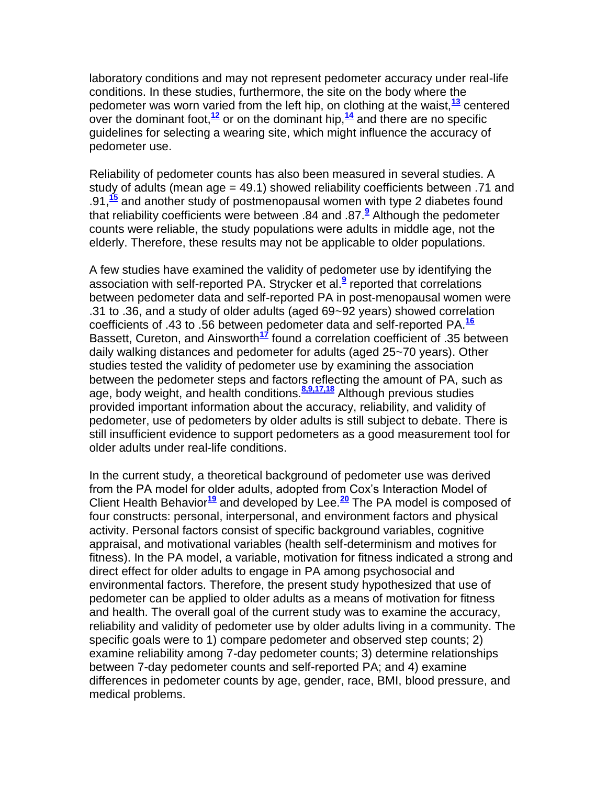laboratory conditions and may not represent pedometer accuracy under real-life conditions. In these studies, furthermore, the site on the body where the pedometer was worn varied from the left hip, on clothing at the waist,**[13](http://snrs.org/publications/SOJNR_articles2/n)** centered over the dominant foot,**[12](http://snrs.org/publications/SOJNR_articles2/n)** or on the dominant hip,**[14](http://snrs.org/publications/SOJNR_articles2/n)** and there are no specific guidelines for selecting a wearing site, which might influence the accuracy of pedometer use.

Reliability of pedometer counts has also been measured in several studies. A study of adults (mean age = 49.1) showed reliability coefficients between .71 and .91,**[15](http://snrs.org/publications/SOJNR_articles2/n)** and another study of postmenopausal women with type 2 diabetes found that reliability coefficients were between .84 and .87.**[9](http://snrs.org/publications/SOJNR_articles2/n)** Although the pedometer counts were reliable, the study populations were adults in middle age, not the elderly. Therefore, these results may not be applicable to older populations.

A few studies have examined the validity of pedometer use by identifying the association with self-reported PA. Strycker et al.**[9](http://snrs.org/publications/SOJNR_articles2/n)** reported that correlations between pedometer data and self-reported PA in post-menopausal women were .31 to .36, and a study of older adults (aged 69~92 years) showed correlation coefficients of .43 to .56 between pedometer data and self-reported PA.**[16](http://snrs.org/publications/SOJNR_articles2/n)** Bassett, Cureton, and Ainsworth**[17](http://snrs.org/publications/SOJNR_articles2/n)** found a correlation coefficient of .35 between daily walking distances and pedometer for adults (aged 25~70 years). Other studies tested the validity of pedometer use by examining the association between the pedometer steps and factors reflecting the amount of PA, such as age, body weight, and health conditions.**[8,9,17,18](http://snrs.org/publications/SOJNR_articles2/n)** Although previous studies provided important information about the accuracy, reliability, and validity of pedometer, use of pedometers by older adults is still subject to debate. There is still insufficient evidence to support pedometers as a good measurement tool for older adults under real-life conditions.

In the current study, a theoretical background of pedometer use was derived from the PA model for older adults, adopted from Cox's Interaction Model of Client Health Behavior**[19](http://snrs.org/publications/SOJNR_articles2/n)** and developed by Lee.**[20](http://snrs.org/publications/SOJNR_articles2/n)** The PA model is composed of four constructs: personal, interpersonal, and environment factors and physical activity. Personal factors consist of specific background variables, cognitive appraisal, and motivational variables (health self-determinism and motives for fitness). In the PA model, a variable, motivation for fitness indicated a strong and direct effect for older adults to engage in PA among psychosocial and environmental factors. Therefore, the present study hypothesized that use of pedometer can be applied to older adults as a means of motivation for fitness and health. The overall goal of the current study was to examine the accuracy, reliability and validity of pedometer use by older adults living in a community. The specific goals were to 1) compare pedometer and observed step counts; 2) examine reliability among 7-day pedometer counts; 3) determine relationships between 7-day pedometer counts and self-reported PA; and 4) examine differences in pedometer counts by age, gender, race, BMI, blood pressure, and medical problems.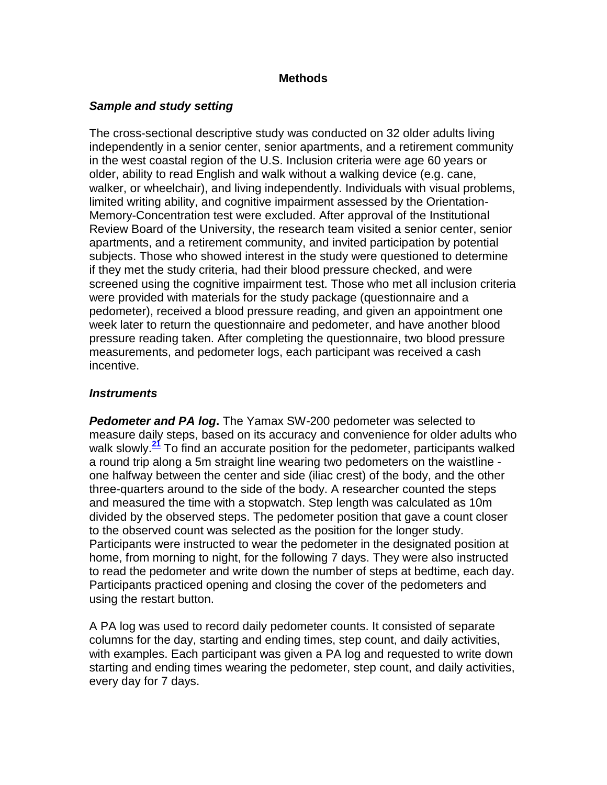#### **Methods**

#### *Sample and study setting*

The cross-sectional descriptive study was conducted on 32 older adults living independently in a senior center, senior apartments, and a retirement community in the west coastal region of the U.S. Inclusion criteria were age 60 years or older, ability to read English and walk without a walking device (e.g. cane, walker, or wheelchair), and living independently. Individuals with visual problems, limited writing ability, and cognitive impairment assessed by the Orientation-Memory-Concentration test were excluded. After approval of the Institutional Review Board of the University, the research team visited a senior center, senior apartments, and a retirement community, and invited participation by potential subjects. Those who showed interest in the study were questioned to determine if they met the study criteria, had their blood pressure checked, and were screened using the cognitive impairment test. Those who met all inclusion criteria were provided with materials for the study package (questionnaire and a pedometer), received a blood pressure reading, and given an appointment one week later to return the questionnaire and pedometer, and have another blood pressure reading taken. After completing the questionnaire, two blood pressure measurements, and pedometer logs, each participant was received a cash incentive.

#### *Instruments*

*Pedometer and PA log***.** The Yamax SW-200 pedometer was selected to measure daily steps, based on its accuracy and convenience for older adults who walk slowly.**[21](http://snrs.org/publications/SOJNR_articles2/n)** To find an accurate position for the pedometer, participants walked a round trip along a 5m straight line wearing two pedometers on the waistline one halfway between the center and side (iliac crest) of the body, and the other three-quarters around to the side of the body. A researcher counted the steps and measured the time with a stopwatch. Step length was calculated as 10m divided by the observed steps. The pedometer position that gave a count closer to the observed count was selected as the position for the longer study. Participants were instructed to wear the pedometer in the designated position at home, from morning to night, for the following 7 days. They were also instructed to read the pedometer and write down the number of steps at bedtime, each day. Participants practiced opening and closing the cover of the pedometers and using the restart button.

A PA log was used to record daily pedometer counts. It consisted of separate columns for the day, starting and ending times, step count, and daily activities, with examples. Each participant was given a PA log and requested to write down starting and ending times wearing the pedometer, step count, and daily activities, every day for 7 days.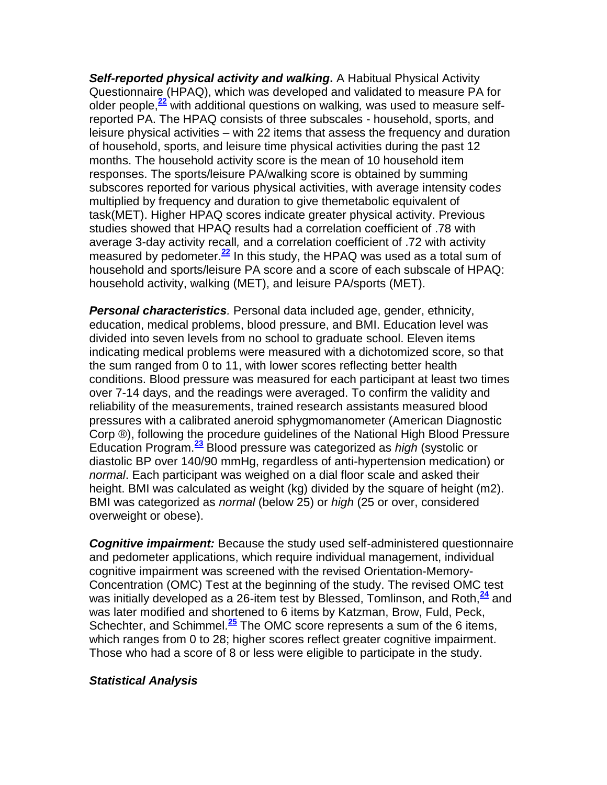*Self-reported physical activity and walking***.** A Habitual Physical Activity Questionnaire (HPAQ), which was developed and validated to measure PA for older people,**[22](http://snrs.org/publications/SOJNR_articles2/n)** with additional questions on walking*,* was used to measure selfreported PA. The HPAQ consists of three subscales - household, sports, and leisure physical activities – with 22 items that assess the frequency and duration of household, sports, and leisure time physical activities during the past 12 months. The household activity score is the mean of 10 household item responses. The sports/leisure PA/walking score is obtained by summing subscores reported for various physical activities, with average intensity code*s* multiplied by frequency and duration to give themetabolic equivalent of task(MET). Higher HPAQ scores indicate greater physical activity. Previous studies showed that HPAQ results had a correlation coefficient of .78 with average 3-day activity recall*,* and a correlation coefficient of .72 with activity measured by pedometer.**[22](http://snrs.org/publications/SOJNR_articles2/n)** In this study, the HPAQ was used as a total sum of household and sports/leisure PA score and a score of each subscale of HPAQ: household activity, walking (MET), and leisure PA/sports (MET).

*Personal characteristics.* Personal data included age, gender, ethnicity, education, medical problems, blood pressure, and BMI. Education level was divided into seven levels from no school to graduate school. Eleven items indicating medical problems were measured with a dichotomized score, so that the sum ranged from 0 to 11, with lower scores reflecting better health conditions. Blood pressure was measured for each participant at least two times over 7-14 days, and the readings were averaged. To confirm the validity and reliability of the measurements, trained research assistants measured blood pressures with a calibrated aneroid sphygmomanometer (American Diagnostic Corp ®), following the procedure guidelines of the National High Blood Pressure Education Program.**[23](http://snrs.org/publications/SOJNR_articles2/n)** Blood pressure was categorized as *high* (systolic or diastolic BP over 140/90 mmHg, regardless of anti-hypertension medication) or *normal*. Each participant was weighed on a dial floor scale and asked their height. BMI was calculated as weight (kg) divided by the square of height (m2). BMI was categorized as *normal* (below 25) or *high* (25 or over, considered overweight or obese).

*Cognitive impairment:* Because the study used self-administered questionnaire and pedometer applications, which require individual management, individual cognitive impairment was screened with the revised Orientation-Memory-Concentration (OMC) Test at the beginning of the study. The revised OMC test was initially developed as a 26-item test by Blessed, Tomlinson, and Roth,  $\frac{24}{3}$  $\frac{24}{3}$  $\frac{24}{3}$  and was later modified and shortened to 6 items by Katzman, Brow, Fuld, Peck, Schechter, and Schimmel.**[25](http://snrs.org/publications/SOJNR_articles2/n)** The OMC score represents a sum of the 6 items, which ranges from 0 to 28; higher scores reflect greater cognitive impairment. Those who had a score of 8 or less were eligible to participate in the study.

### *Statistical Analysis*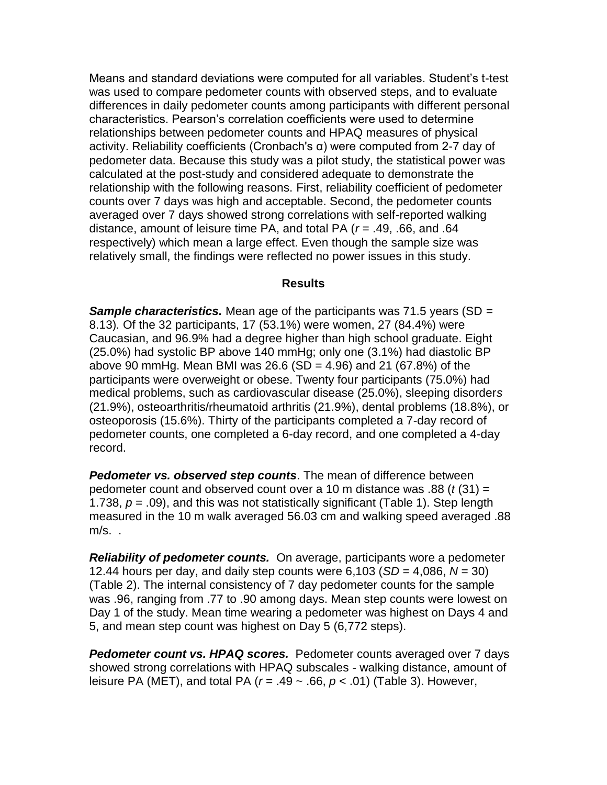Means and standard deviations were computed for all variables. Student's t-test was used to compare pedometer counts with observed steps, and to evaluate differences in daily pedometer counts among participants with different personal characteristics. Pearson's correlation coefficients were used to determine relationships between pedometer counts and HPAQ measures of physical activity. Reliability coefficients (Cronbach's α) were computed from 2-7 day of pedometer data. Because this study was a pilot study, the statistical power was calculated at the post-study and considered adequate to demonstrate the relationship with the following reasons. First, reliability coefficient of pedometer counts over 7 days was high and acceptable. Second, the pedometer counts averaged over 7 days showed strong correlations with self-reported walking distance, amount of leisure time PA, and total PA (*r* = .49, .66, and .64 respectively) which mean a large effect. Even though the sample size was relatively small, the findings were reflected no power issues in this study.

#### **Results**

*Sample characteristics.* Mean age of the participants was 71.5 years (SD *=*  8.13)*.* Of the 32 participants, 17 (53.1%) were women, 27 (84.4%) were Caucasian, and 96.9% had a degree higher than high school graduate. Eight (25.0%) had systolic BP above 140 mmHg; only one (3.1%) had diastolic BP above 90 mmHg. Mean BMI was 26.6 (SD = 4.96) and 21 (67.8%) of the participants were overweight or obese. Twenty four participants (75.0%) had medical problems, such as cardiovascular disease (25.0%), sleeping disorder*s* (21.9%), osteoarthritis/rheumatoid arthritis (21.9%), dental problems (18.8%), or osteoporosis (15.6%). Thirty of the participants completed a 7-day record of pedometer counts, one completed a 6-day record, and one completed a 4-day record.

*Pedometer vs. observed step counts*. The mean of difference between pedometer count and observed count over a 10 m distance was .88 (*t* (31) = 1.738, *p* = .09), and this was not statistically significant (Table 1). Step length measured in the 10 m walk averaged 56.03 cm and walking speed averaged .88 m/s. .

*Reliability of pedometer counts.* On average, participants wore a pedometer 12.44 hours per day, and daily step counts were 6,103 (*SD* = 4,086, *N* = 30) (Table 2). The internal consistency of 7 day pedometer counts for the sample was .96, ranging from .77 to .90 among days. Mean step counts were lowest on Day 1 of the study. Mean time wearing a pedometer was highest on Days 4 and 5, and mean step count was highest on Day 5 (6,772 steps).

*Pedometer count vs. HPAQ scores.* Pedometer counts averaged over 7 days showed strong correlations with HPAQ subscales - walking distance, amount of leisure PA (MET), and total PA (*r* = .49 ~ .66, *p* < .01) (Table 3). However,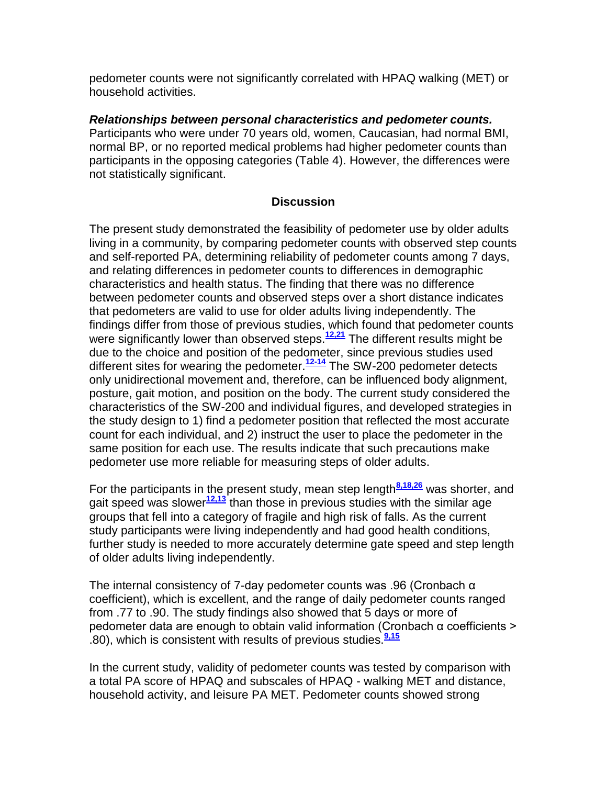pedometer counts were not significantly correlated with HPAQ walking (MET) or household activities.

*Relationships between personal characteristics and pedometer counts.* Participants who were under 70 years old, women, Caucasian, had normal BMI, normal BP, or no reported medical problems had higher pedometer counts than participants in the opposing categories (Table 4). However, the differences were not statistically significant.

### **Discussion**

The present study demonstrated the feasibility of pedometer use by older adults living in a community, by comparing pedometer counts with observed step counts and self-reported PA, determining reliability of pedometer counts among 7 days, and relating differences in pedometer counts to differences in demographic characteristics and health status. The finding that there was no difference between pedometer counts and observed steps over a short distance indicates that pedometers are valid to use for older adults living independently. The findings differ from those of previous studies, which found that pedometer counts were significantly lower than observed steps.**[12,21](http://snrs.org/publications/SOJNR_articles2/n)** The different results might be due to the choice and position of the pedometer, since previous studies used different sites for wearing the pedometer.**[12-14](http://snrs.org/publications/SOJNR_articles2/n)** The SW-200 pedometer detects only unidirectional movement and, therefore, can be influenced body alignment, posture, gait motion, and position on the body. The current study considered the characteristics of the SW-200 and individual figures, and developed strategies in the study design to 1) find a pedometer position that reflected the most accurate count for each individual, and 2) instruct the user to place the pedometer in the same position for each use. The results indicate that such precautions make pedometer use more reliable for measuring steps of older adults.

For the participants in the present study, mean step length<sup>[8,18,26](http://snrs.org/publications/SOJNR_articles2/n)</sup> was shorter, and gait speed was slower**[12,13](http://snrs.org/publications/SOJNR_articles2/n)** than those in previous studies with the similar age groups that fell into a category of fragile and high risk of falls. As the current study participants were living independently and had good health conditions, further study is needed to more accurately determine gate speed and step length of older adults living independently.

The internal consistency of 7-day pedometer counts was .96 (Cronbach α coefficient), which is excellent, and the range of daily pedometer counts ranged from .77 to .90. The study findings also showed that 5 days or more of pedometer data are enough to obtain valid information (Cronbach α coefficients > .80), which is consistent with results of previous studies.**[9,15](http://snrs.org/publications/SOJNR_articles2/n)**

In the current study, validity of pedometer counts was tested by comparison with a total PA score of HPAQ and subscales of HPAQ - walking MET and distance, household activity, and leisure PA MET. Pedometer counts showed strong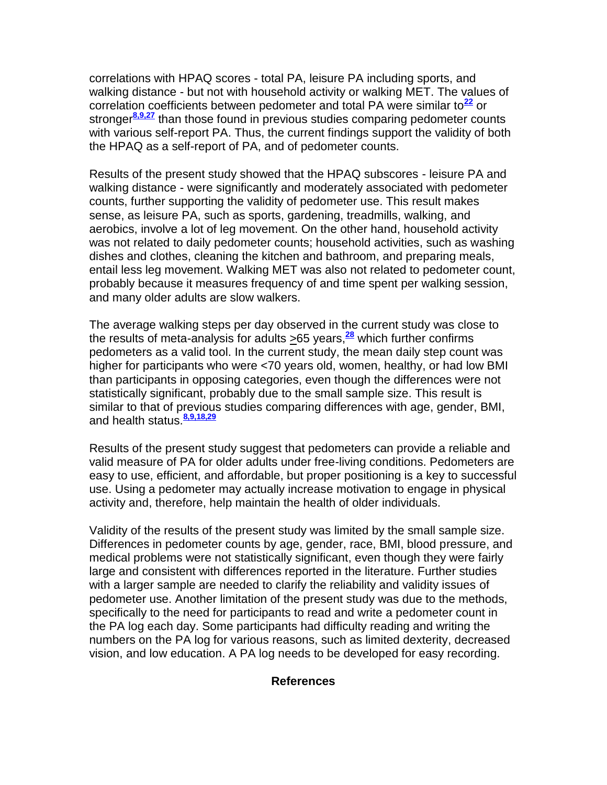correlations with HPAQ scores - total PA, leisure PA including sports, and walking distance - but not with household activity or walking MET. The values of correlation coefficients between pedometer and total PA were similar to**[22](http://snrs.org/publications/SOJNR_articles2/n)** or stronger**[8,9,27](http://snrs.org/publications/SOJNR_articles2/n)** than those found in previous studies comparing pedometer counts with various self-report PA. Thus, the current findings support the validity of both the HPAQ as a self-report of PA, and of pedometer counts.

Results of the present study showed that the HPAQ subscores - leisure PA and walking distance - were significantly and moderately associated with pedometer counts, further supporting the validity of pedometer use. This result makes sense, as leisure PA, such as sports, gardening, treadmills, walking, and aerobics, involve a lot of leg movement. On the other hand, household activity was not related to daily pedometer counts; household activities, such as washing dishes and clothes, cleaning the kitchen and bathroom, and preparing meals, entail less leg movement. Walking MET was also not related to pedometer count, probably because it measures frequency of and time spent per walking session, and many older adults are slow walkers.

The average walking steps per day observed in the current study was close to the results of meta-analysis for adults >65 years,**[28](http://snrs.org/publications/SOJNR_articles2/n)** which further confirms pedometers as a valid tool. In the current study, the mean daily step count was higher for participants who were <70 years old, women, healthy, or had low BMI than participants in opposing categories, even though the differences were not statistically significant, probably due to the small sample size. This result is similar to that of previous studies comparing differences with age, gender, BMI, and health status.**[8,9,18,29](http://snrs.org/publications/SOJNR_articles2/n)**

Results of the present study suggest that pedometers can provide a reliable and valid measure of PA for older adults under free-living conditions. Pedometers are easy to use, efficient, and affordable, but proper positioning is a key to successful use. Using a pedometer may actually increase motivation to engage in physical activity and, therefore, help maintain the health of older individuals.

Validity of the results of the present study was limited by the small sample size. Differences in pedometer counts by age, gender, race, BMI, blood pressure, and medical problems were not statistically significant, even though they were fairly large and consistent with differences reported in the literature. Further studies with a larger sample are needed to clarify the reliability and validity issues of pedometer use. Another limitation of the present study was due to the methods, specifically to the need for participants to read and write a pedometer count in the PA log each day. Some participants had difficulty reading and writing the numbers on the PA log for various reasons, such as limited dexterity, decreased vision, and low education. A PA log needs to be developed for easy recording.

#### **References**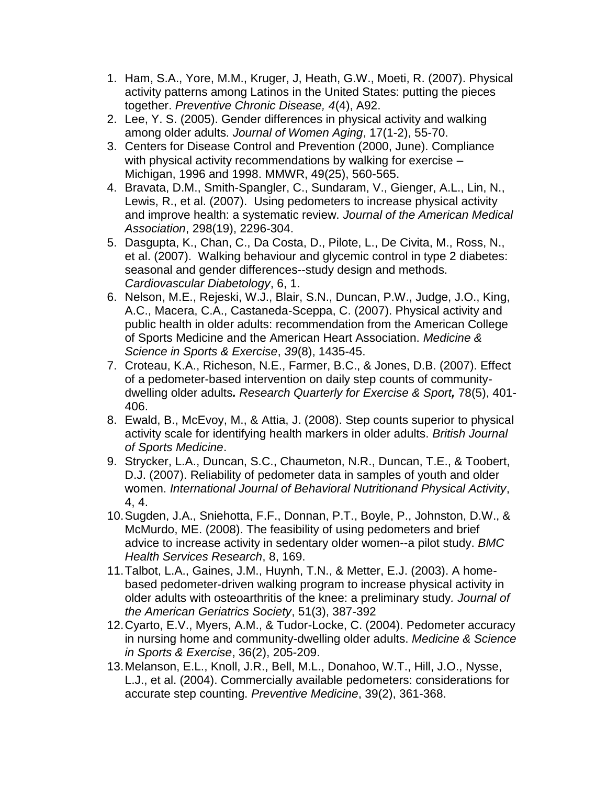- 1. Ham, S.A., Yore, M.M., Kruger, J, Heath, G.W., Moeti, R. (2007). Physical activity patterns among Latinos in the United States: putting the pieces together. *Preventive Chronic Disease, 4*(4), A92.
- 2. Lee, Y. S. (2005). Gender differences in physical activity and walking among older adults. *Journal of Women Aging*, 17(1-2), 55-70.
- 3. Centers for Disease Control and Prevention (2000, June). Compliance with physical activity recommendations by walking for exercise – Michigan, 1996 and 1998. MMWR, 49(25), 560-565.
- 4. Bravata, D.M., Smith-Spangler, C., Sundaram, V., Gienger, A.L., Lin, N., Lewis, R., et al. (2007). Using pedometers to increase physical activity and improve health: a systematic review. *Journal of the American Medical Association*, 298(19), 2296-304.
- 5. Dasgupta, K., Chan, C., Da Costa, D., Pilote, L., De Civita, M., Ross, N., et al. (2007). Walking behaviour and glycemic control in type 2 diabetes: seasonal and gender differences--study design and methods. *Cardiovascular Diabetology*, 6, 1.
- 6. Nelson, M.E., Rejeski, W.J., Blair, S.N., Duncan, P.W., Judge, J.O., King, A.C., Macera, C.A., Castaneda-Sceppa, C. (2007). Physical activity and public health in older adults: recommendation from the American College of Sports Medicine and the American Heart Association. *Medicine & Science in Sports & Exercise*, *39*(8), 1435-45.
- 7. Croteau, K.A., Richeson, N.E., Farmer, B.C., & Jones, D.B. (2007). Effect of a pedometer-based intervention on daily step counts of communitydwelling older adults*. Research Quarterly for Exercise & Sport,* 78(5), 401- 406.
- 8. Ewald, B., McEvoy, M., & Attia, J. (2008). Step counts superior to physical activity scale for identifying health markers in older adults. *British Journal of Sports Medicine*.
- 9. Strycker, L.A., Duncan, S.C., Chaumeton, N.R., Duncan, T.E., & Toobert, D.J. (2007). Reliability of pedometer data in samples of youth and older women. *International Journal of Behavioral Nutritionand Physical Activity*, 4, 4.
- 10.Sugden, J.A., Sniehotta, F.F., Donnan, P.T., Boyle, P., Johnston, D.W., & McMurdo, ME. (2008). The feasibility of using pedometers and brief advice to increase activity in sedentary older women--a pilot study. *BMC Health Services Research*, 8, 169.
- 11.Talbot, L.A., Gaines, J.M., Huynh, T.N., & Metter, E.J. (2003). A homebased pedometer-driven walking program to increase physical activity in older adults with osteoarthritis of the knee: a preliminary study*. Journal of the American Geriatrics Society*, 51(3), 387-392
- 12.Cyarto, E.V., Myers, A.M., & Tudor-Locke, C. (2004). Pedometer accuracy in nursing home and community-dwelling older adults. *Medicine & Science in Sports & Exercise*, 36(2), 205-209.
- 13.Melanson, E.L., Knoll, J.R., Bell, M.L., Donahoo, W.T., Hill, J.O., Nysse, L.J., et al. (2004). Commercially available pedometers: considerations for accurate step counting. *Preventive Medicine*, 39(2), 361-368.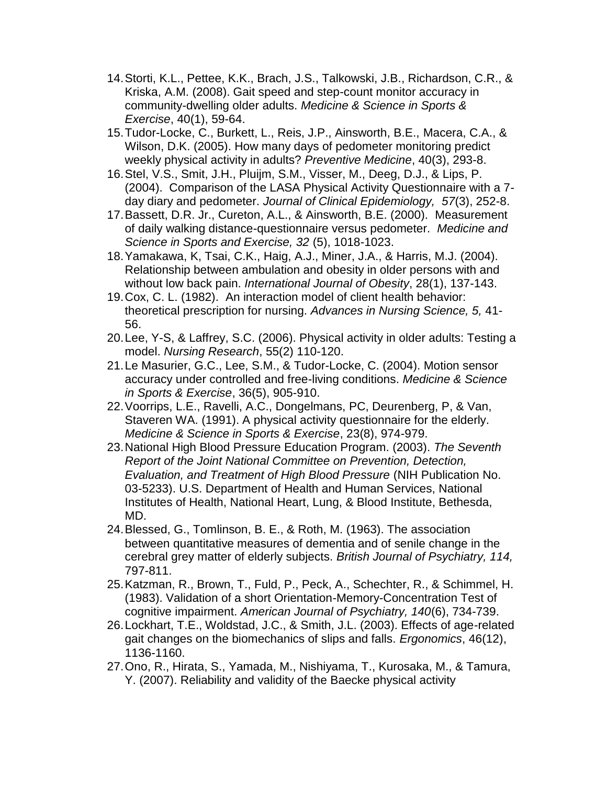- 14.Storti, K.L., Pettee, K.K., Brach, J.S., Talkowski, J.B., Richardson, C.R., & Kriska, A.M. (2008). Gait speed and step-count monitor accuracy in community-dwelling older adults. *Medicine & Science in Sports & Exercise*, 40(1), 59-64.
- 15.Tudor-Locke, C., Burkett, L., Reis, J.P., Ainsworth, B.E., Macera, C.A., & Wilson, D.K. (2005). How many days of pedometer monitoring predict weekly physical activity in adults? *Preventive Medicine*, 40(3), 293-8.
- 16.Stel, V.S., Smit, J.H., Pluijm, S.M., Visser, M., Deeg, D.J., & Lips, P. (2004). Comparison of the LASA Physical Activity Questionnaire with a 7 day diary and pedometer. *Journal of Clinical Epidemiology, 57*(3), 252-8.
- 17.Bassett, D.R. Jr., Cureton, A.L., & Ainsworth, B.E. (2000). Measurement of daily walking distance-questionnaire versus pedometer. *Medicine and Science in Sports and Exercise, 32* (5), 1018-1023.
- 18.Yamakawa, K, Tsai, C.K., Haig, A.J., Miner, J.A., & Harris, M.J. (2004). Relationship between ambulation and obesity in older persons with and without low back pain. *International Journal of Obesity*, 28(1), 137-143.
- 19.Cox, C. L. (1982). An interaction model of client health behavior: theoretical prescription for nursing. *Advances in Nursing Science, 5,* 41- 56.
- 20.Lee, Y-S, & Laffrey, S.C. (2006). Physical activity in older adults: Testing a model. *Nursing Research*, 55(2) 110-120.
- 21.Le Masurier, G.C., Lee, S.M., & Tudor-Locke, C. (2004). Motion sensor accuracy under controlled and free-living conditions. *Medicine & Science in Sports & Exercise*, 36(5), 905-910.
- 22.Voorrips, L.E., Ravelli, A.C., Dongelmans, PC, Deurenberg, P, & Van, Staveren WA. (1991). A physical activity questionnaire for the elderly. *Medicine & Science in Sports & Exercise*, 23(8), 974-979.
- 23.National High Blood Pressure Education Program. (2003). *The Seventh Report of the Joint National Committee on Prevention, Detection, Evaluation, and Treatment of High Blood Pressure* (NIH Publication No. 03-5233). U.S. Department of Health and Human Services, National Institutes of Health, National Heart, Lung, & Blood Institute, Bethesda, MD.
- 24.Blessed, G., Tomlinson, B. E., & Roth, M. (1963). The association between quantitative measures of dementia and of senile change in the cerebral grey matter of elderly subjects. *British Journal of Psychiatry, 114,* 797-811.
- 25.Katzman, R., Brown, T., Fuld, P., Peck, A., Schechter, R., & Schimmel, H. (1983). Validation of a short Orientation-Memory-Concentration Test of cognitive impairment. *American Journal of Psychiatry, 140*(6), 734-739.
- 26.Lockhart, T.E., Woldstad, J.C., & Smith, J.L. (2003). Effects of age-related gait changes on the biomechanics of slips and falls. *Ergonomics*, 46(12), 1136-1160.
- 27.Ono, R., Hirata, S., Yamada, M., Nishiyama, T., Kurosaka, M., & Tamura, Y. (2007). Reliability and validity of the Baecke physical activity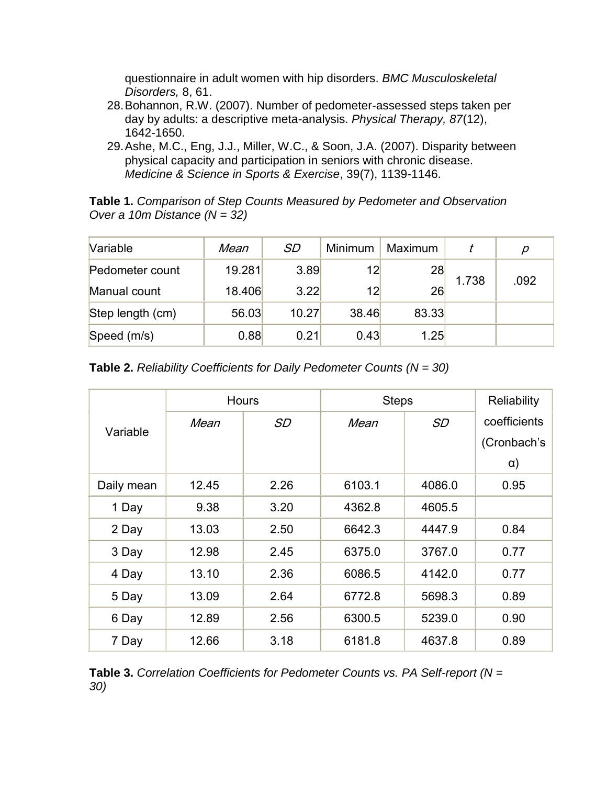questionnaire in adult women with hip disorders. *BMC Musculoskeletal Disorders,* 8, 61.

- 28.Bohannon, R.W. (2007). Number of pedometer-assessed steps taken per day by adults: a descriptive meta-analysis. *Physical Therapy, 87*(12), 1642-1650.
- 29.Ashe, M.C., Eng, J.J., Miller, W.C., & Soon, J.A. (2007). Disparity between physical capacity and participation in seniors with chronic disease. *Medicine & Science in Sports & Exercise*, 39(7), 1139-1146.

**Table 1.** *Comparison of Step Counts Measured by Pedometer and Observation Over a 10m Distance (N = 32)*

| Variable         | Mean   | SD    | Minimum | Maximum |       | р    |
|------------------|--------|-------|---------|---------|-------|------|
| Pedometer count  | 19.281 | 3.89  | 12      | 28      |       |      |
| Manual count     | 18.406 | 3.22  | 12      | 26      | 1.738 | .092 |
| Step length (cm) | 56.03  | 10.27 | 38.46   | 83.33   |       |      |
| Speed (m/s)      | 0.88   | 0.21  | 0.43    | 1.25    |       |      |

|  |  | <b>Table 2.</b> Reliability Coefficients for Daily Pedometer Counts ( $N = 30$ ) |  |  |  |  |  |
|--|--|----------------------------------------------------------------------------------|--|--|--|--|--|
|--|--|----------------------------------------------------------------------------------|--|--|--|--|--|

|            | <b>Hours</b> |           | <b>Steps</b> | Reliability |              |
|------------|--------------|-----------|--------------|-------------|--------------|
| Variable   | Mean         | <i>SD</i> | Mean         | SD          | coefficients |
|            |              |           |              |             | (Cronbach's  |
|            |              |           |              |             | $\alpha$ )   |
| Daily mean | 12.45        | 2.26      | 6103.1       | 4086.0      | 0.95         |
| 1 Day      | 9.38         | 3.20      | 4362.8       | 4605.5      |              |
| 2 Day      | 13.03        | 2.50      | 6642.3       | 4447.9      | 0.84         |
| 3 Day      | 12.98        | 2.45      | 6375.0       | 3767.0      | 0.77         |
| 4 Day      | 13.10        | 2.36      | 6086.5       | 4142.0      | 0.77         |
| 5 Day      | 13.09        | 2.64      | 6772.8       | 5698.3      | 0.89         |
| 6 Day      | 12.89        | 2.56      | 6300.5       | 5239.0      | 0.90         |
| 7 Day      | 12.66        | 3.18      | 6181.8       | 4637.8      | 0.89         |

**Table 3.** *Correlation Coefficients for Pedometer Counts vs. PA Self-report (N = 30)*